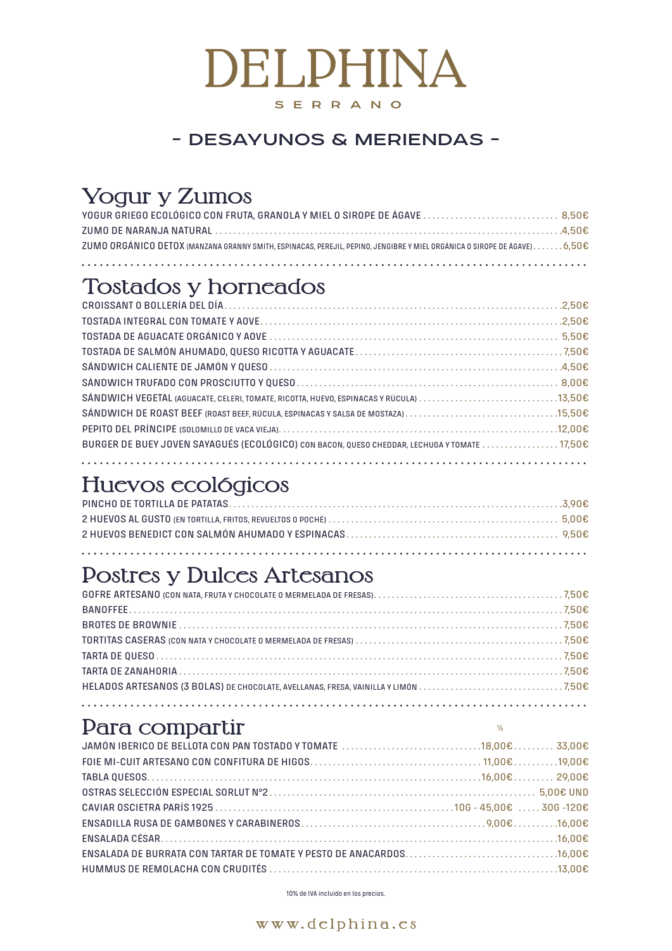10% de IVA incluido en los precios.



## Tostados y horneados

| BURGER DE BUEY JOVEN SAYAGUÉS (ECOLÓGICO) CON BACON, QUESO CHEDDAR, LECHUGA Y TOMATE 17,50€ |  |
|---------------------------------------------------------------------------------------------|--|
|                                                                                             |  |

# Huevos ecológicos

# Yogur y Zumos

| ZUMO ORGÁNICO DETOX (MANZANA GRANNY SMITH, ESPINACAS, PEREJIL, PEPINO, JENGIBRE Y MIEL ORGÁNICA O SIROPE DE ÁGAVE)6,50€ |  |
|-------------------------------------------------------------------------------------------------------------------------|--|
|                                                                                                                         |  |
|                                                                                                                         |  |

### Postres y Dulces Artesanos

 $\frac{1}{2}$ 

### Para compartir

# DELPHINA SERRANO

#### - DESAYUNOS & MERIENDAS -